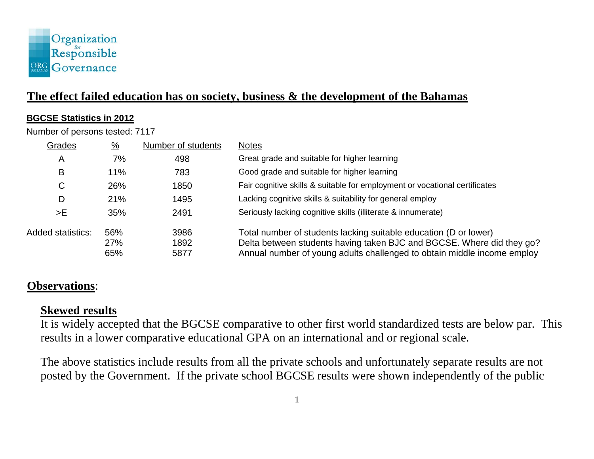

# **The effect failed education has on society, business & the development of the Bahamas**

#### **BGCSE Statistics in 2012**

Number of persons tested: 7117

| Grades            | $\frac{0}{2}$ | Number of students | <b>Notes</b>                                                               |
|-------------------|---------------|--------------------|----------------------------------------------------------------------------|
| A                 | 7%            | 498                | Great grade and suitable for higher learning                               |
| B                 | 11%           | 783                | Good grade and suitable for higher learning                                |
| C                 | 26%           | 1850               | Fair cognitive skills & suitable for employment or vocational certificates |
| D                 | 21%           | 1495               | Lacking cognitive skills & suitability for general employ                  |
| >E                | 35%           | 2491               | Seriously lacking cognitive skills (illiterate & innumerate)               |
| Added statistics: | 56%           | 3986               | Total number of students lacking suitable education (D or lower)           |
|                   | 27%           | 1892               | Delta between students having taken BJC and BGCSE. Where did they go?      |
|                   | 65%           | 5877               | Annual number of young adults challenged to obtain middle income employ    |

## **Observations**:

#### **Skewed results**

It is widely accepted that the BGCSE comparative to other first world standardized tests are below par. This results in a lower comparative educational GPA on an international and or regional scale.

The above statistics include results from all the private schools and unfortunately separate results are not posted by the Government. If the private school BGCSE results were shown independently of the public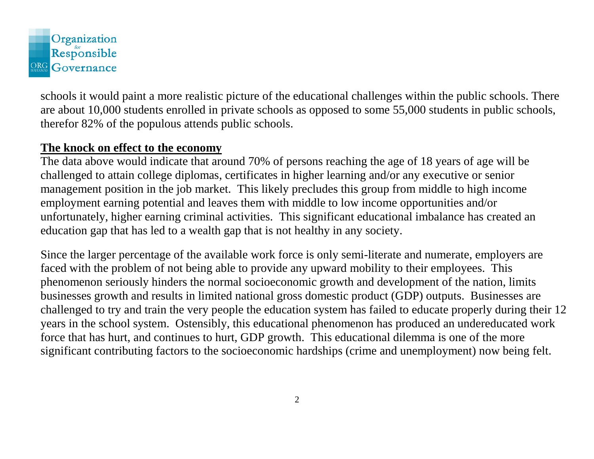

schools it would paint a more realistic picture of the educational challenges within the public schools. There are about 10,000 students enrolled in private schools as opposed to some 55,000 students in public schools, therefor 82% of the populous attends public schools.

#### **The knock on effect to the economy**

The data above would indicate that around 70% of persons reaching the age of 18 years of age will be challenged to attain college diplomas, certificates in higher learning and/or any executive or senior management position in the job market. This likely precludes this group from middle to high income employment earning potential and leaves them with middle to low income opportunities and/or unfortunately, higher earning criminal activities. This significant educational imbalance has created an education gap that has led to a wealth gap that is not healthy in any society.

Since the larger percentage of the available work force is only semi-literate and numerate, employers are faced with the problem of not being able to provide any upward mobility to their employees. This phenomenon seriously hinders the normal socioeconomic growth and development of the nation, limits businesses growth and results in limited national gross domestic product (GDP) outputs. Businesses are challenged to try and train the very people the education system has failed to educate properly during their 12 years in the school system. Ostensibly, this educational phenomenon has produced an undereducated work force that has hurt, and continues to hurt, GDP growth. This educational dilemma is one of the more significant contributing factors to the socioeconomic hardships (crime and unemployment) now being felt.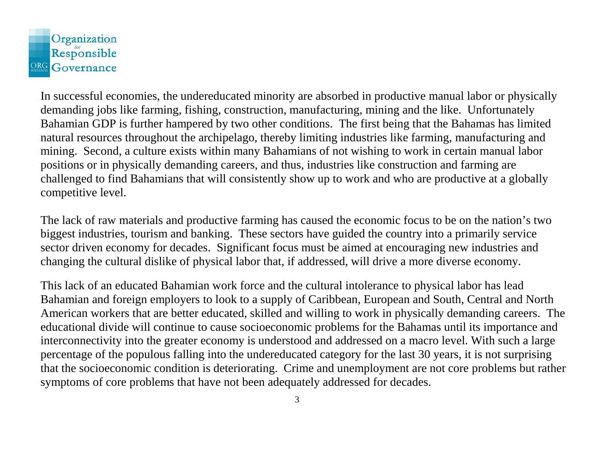

In successful economies, the undereducated minority are absorbed in productive manual labor or physically demanding jobs like farming, fishing, construction, manufacturing, mining and the like. Unfortunately Bahamian GDP is further hampered by two other conditions. The first being that the Bahamas has limited natural resources throughout the archipelago, thereby limiting industries like farming, manufacturing and mining. Second, a culture exists within many Bahamians of not wishing to work in certain manual labor positions or in physically demanding careers, and thus, industries like construction and farming are challenged to find Bahamians that will consistently show up to work and who are productive at a globally competitive level.

The lack of raw materials and productive farming has caused the economic focus to be on the nation's two biggest industries, tourism and banking. These sectors have guided the country into a primarily service sector driven economy for decades. Significant focus must be aimed at encouraging new industries and changing the cultural dislike of physical labor that, if addressed, will drive a more diverse economy.

This lack of an educated Bahamian work force and the cultural intolerance to physical labor has lead Bahamian and foreign employers to look to a supply of Caribbean, European and South, Central and North American workers that are better educated, skilled and willing to work in physically demanding careers. The educational divide will continue to cause socioeconomic problems for the Bahamas until its importance and interconnectivity into the greater economy is understood and addressed on a macro level. With such a large percentage of the populous falling into the undereducated category for the last 30 years, it is not surprising that the socioeconomic condition is deteriorating. Crime and unemployment are not core problems but rather symptoms of core problems that have not been adequately addressed for decades.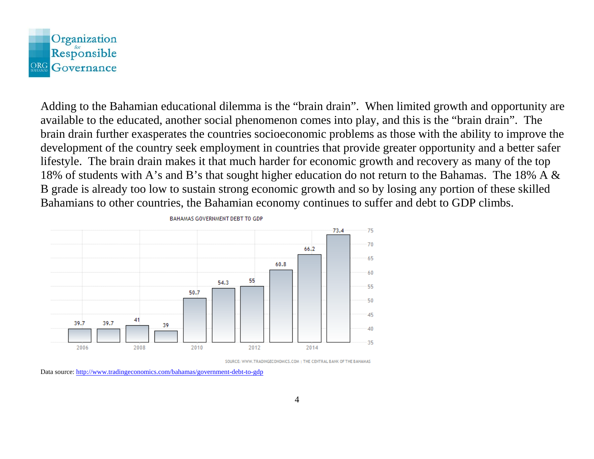

Adding to the Bahamian educational dilemma is the "brain drain". When limited growth and opportunity are available to the educated, another social phenomenon comes into play, and this is the "brain drain". The brain drain further exasperates the countries socioeconomic problems as those with the ability to improve the development of the country seek employment in countries that provide greater opportunity and a better safer lifestyle. The brain drain makes it that much harder for economic growth and recovery as many of the top 18% of students with A's and B's that sought higher education do not return to the Bahamas. The 18% A & B grade is already too low to sustain strong economic growth and so by losing any portion of these skilled Bahamians to other countries, the Bahamian economy continues to suffer and debt to GDP climbs.



SOURCE: WWW.TRADINGECONOMICS.COM | THE CENTRAL BANK OF THE BAHAMAS

Data source: <http://www.tradingeconomics.com/bahamas/government-debt-to-gdp>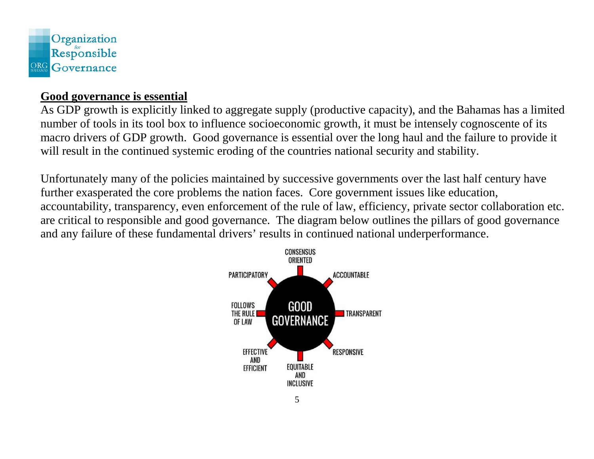

## **Good governance is essential**

As GDP growth is explicitly linked to aggregate supply (productive capacity), and the Bahamas has a limited number of tools in its tool box to influence socioeconomic growth, it must be intensely cognoscente of its macro drivers of GDP growth. Good governance is essential over the long haul and the failure to provide it will result in the continued systemic eroding of the countries national security and stability.

Unfortunately many of the policies maintained by successive governments over the last half century have further exasperated the core problems the nation faces. Core government issues like education, accountability, transparency, even enforcement of the rule of law, efficiency, private sector collaboration etc. are critical to responsible and good governance. The diagram below outlines the pillars of good governance and any failure of these fundamental drivers' results in continued national underperformance.

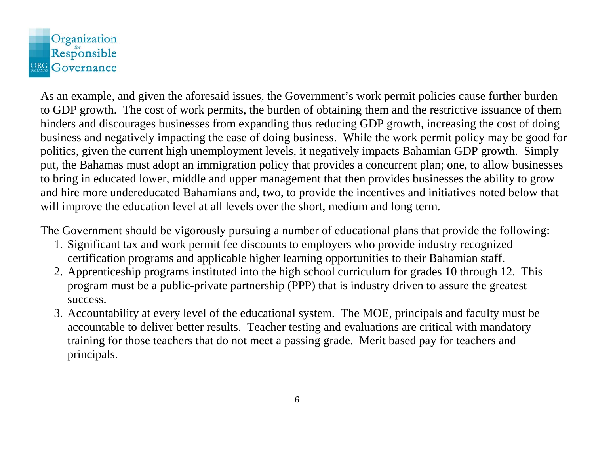

As an example, and given the aforesaid issues, the Government's work permit policies cause further burden to GDP growth. The cost of work permits, the burden of obtaining them and the restrictive issuance of them hinders and discourages businesses from expanding thus reducing GDP growth, increasing the cost of doing business and negatively impacting the ease of doing business. While the work permit policy may be good for politics, given the current high unemployment levels, it negatively impacts Bahamian GDP growth. Simply put, the Bahamas must adopt an immigration policy that provides a concurrent plan; one, to allow businesses to bring in educated lower, middle and upper management that then provides businesses the ability to grow and hire more undereducated Bahamians and, two, to provide the incentives and initiatives noted below that will improve the education level at all levels over the short, medium and long term.

The Government should be vigorously pursuing a number of educational plans that provide the following:

- 1. Significant tax and work permit fee discounts to employers who provide industry recognized certification programs and applicable higher learning opportunities to their Bahamian staff.
- 2. Apprenticeship programs instituted into the high school curriculum for grades 10 through 12. This program must be a public-private partnership (PPP) that is industry driven to assure the greatest success.
- 3. Accountability at every level of the educational system. The MOE, principals and faculty must be accountable to deliver better results. Teacher testing and evaluations are critical with mandatory training for those teachers that do not meet a passing grade. Merit based pay for teachers and principals.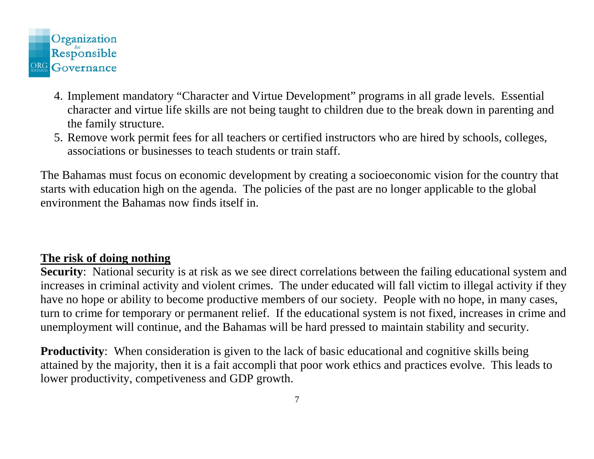

- 4. Implement mandatory "Character and Virtue Development" programs in all grade levels. Essential character and virtue life skills are not being taught to children due to the break down in parenting and the family structure.
- 5. Remove work permit fees for all teachers or certified instructors who are hired by schools, colleges, associations or businesses to teach students or train staff.

The Bahamas must focus on economic development by creating a socioeconomic vision for the country that starts with education high on the agenda. The policies of the past are no longer applicable to the global environment the Bahamas now finds itself in.

## **The risk of doing nothing**

**Security**: National security is at risk as we see direct correlations between the failing educational system and increases in criminal activity and violent crimes. The under educated will fall victim to illegal activity if they have no hope or ability to become productive members of our society. People with no hope, in many cases, turn to crime for temporary or permanent relief. If the educational system is not fixed, increases in crime and unemployment will continue, and the Bahamas will be hard pressed to maintain stability and security.

**Productivity:** When consideration is given to the lack of basic educational and cognitive skills being attained by the majority, then it is a fait accompli that poor work ethics and practices evolve. This leads to lower productivity, competiveness and GDP growth.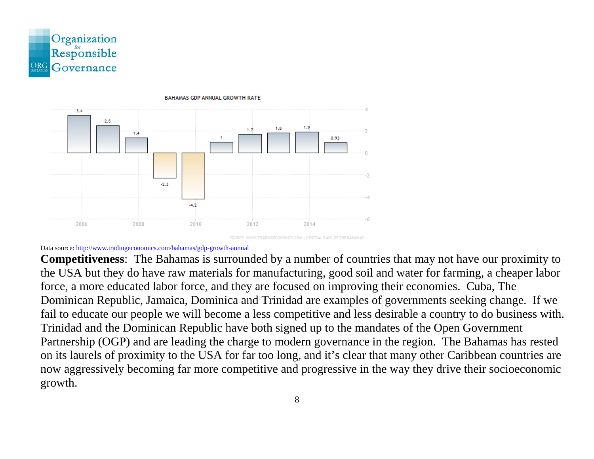



**BAHAMAS GDP ANNUAL GROWTH RATE** 

#### Data source[: http://www.tradingeconomics.com/bahamas/gdp-growth-annual](http://www.tradingeconomics.com/bahamas/gdp-growth-annual)

**Competitiveness**: The Bahamas is surrounded by a number of countries that may not have our proximity to the USA but they do have raw materials for manufacturing, good soil and water for farming, a cheaper labor force, a more educated labor force, and they are focused on improving their economies. Cuba, The Dominican Republic, Jamaica, Dominica and Trinidad are examples of governments seeking change. If we fail to educate our people we will become a less competitive and less desirable a country to do business with. Trinidad and the Dominican Republic have both signed up to the mandates of the Open Government Partnership (OGP) and are leading the charge to modern governance in the region. The Bahamas has rested on its laurels of proximity to the USA for far too long, and it's clear that many other Caribbean countries are now aggressively becoming far more competitive and progressive in the way they drive their socioeconomic growth.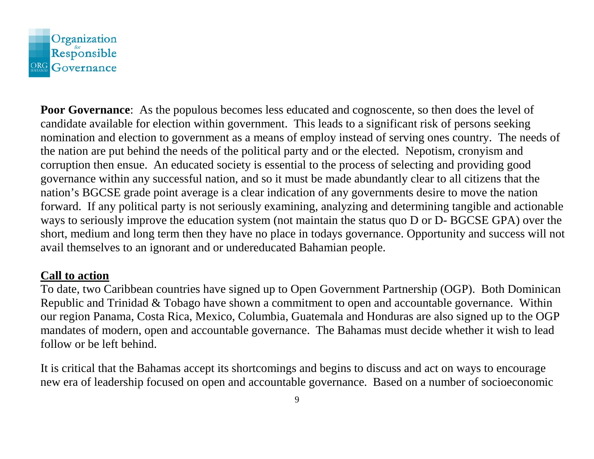

**Poor Governance:** As the populous becomes less educated and cognoscente, so then does the level of candidate available for election within government. This leads to a significant risk of persons seeking nomination and election to government as a means of employ instead of serving ones country. The needs of the nation are put behind the needs of the political party and or the elected. Nepotism, cronyism and corruption then ensue. An educated society is essential to the process of selecting and providing good governance within any successful nation, and so it must be made abundantly clear to all citizens that the nation's BGCSE grade point average is a clear indication of any governments desire to move the nation forward. If any political party is not seriously examining, analyzing and determining tangible and actionable ways to seriously improve the education system (not maintain the status quo D or D- BGCSE GPA) over the short, medium and long term then they have no place in todays governance. Opportunity and success will not avail themselves to an ignorant and or undereducated Bahamian people.

#### **Call to action**

To date, two Caribbean countries have signed up to Open Government Partnership (OGP). Both Dominican Republic and Trinidad & Tobago have shown a commitment to open and accountable governance. Within our region Panama, Costa Rica, Mexico, Columbia, Guatemala and Honduras are also signed up to the OGP mandates of modern, open and accountable governance. The Bahamas must decide whether it wish to lead follow or be left behind.

It is critical that the Bahamas accept its shortcomings and begins to discuss and act on ways to encourage new era of leadership focused on open and accountable governance. Based on a number of socioeconomic